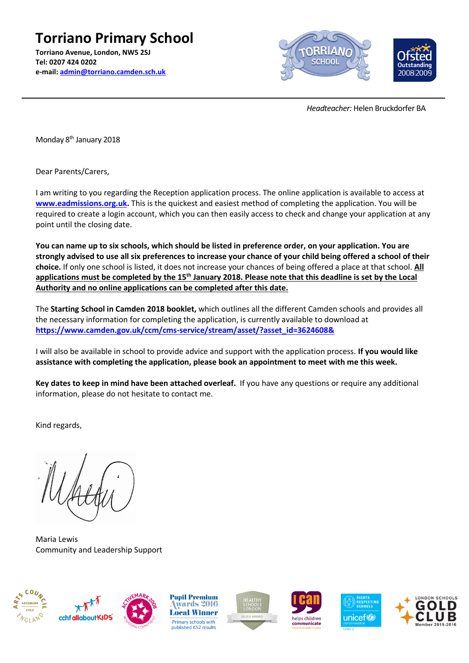**Torriano Primary School Torriano Avenue, London, NW5 2SJ Tel: 0207 424 0202 e-mail: [admin@torriano.camden.sch.uk](mailto:admin@torriano.camden.sch.uk)**



 *Headteacher:* Helen Bruckdorfer BA

Monday 8<sup>th</sup> January 2018

Dear Parents/Carers,

I am writing to you regarding the Reception application process. The online application is available to access at **[www.eadmissions.org.uk.](http://www.eadmissions.org.uk/)** This is the quickest and easiest method of completing the application. You will be required to create a login account, which you can then easily access to check and change your application at any point until the closing date.

**You can name up to six schools, which should be listed in preference order, on your application. You are strongly advised to use all six preferences to increase your chance of your child being offered a school of their choice.** If only one school is listed, it does not increase your chances of being offered a place at that school. **All applications must be completed by the 15th January 2018. Please note that this deadline is set by the Local Authority and no online applications can be completed after this date.**

The **Starting School in Camden 2018 booklet,** which outlines all the different Camden schools and provides all the necessary information for completing the application, is currently available to download at **[https://www.camden.gov.uk/ccm/cms-service/stream/asset/?asset\\_id=3624608&](https://www.camden.gov.uk/ccm/cms-service/stream/asset/?asset_id=3624608&)**

I will also be available in school to provide advice and support with the application process. **If you would like assistance with completing the application, please book an appointment to meet with me this week.** 

**Key dates to keep in mind have been attached overleaf.** If you have any questions or require any additional information, please do not hesitate to contact me.

Kind regards,

Maria Lewis Community and Leadership Support